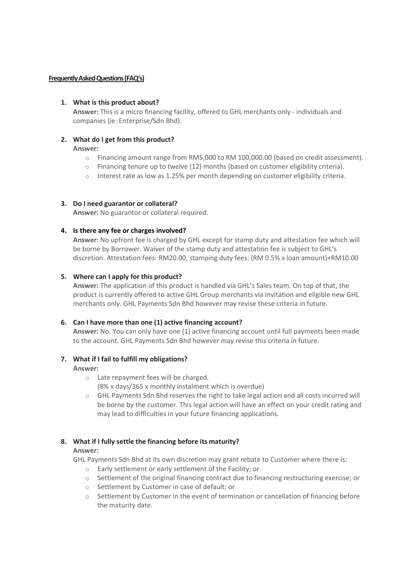# Frequently Asked Questions (FAQ's)

## 1. What is this product about?

Answer: This is a micro financing facility, offered to GHL merchants only - individuals and companies (ie: Enterprise/Sdn Bhd).

# 2. What do I get from this product?

Answer:

- o Financing amount range from RM5,000 to RM 100,000.00 (based on credit assessment).
- $\circ$  Financing tenure up to twelve (12) months (based on customer eligibility criteria).
- $\circ$  Interest rate as low as 1.25% per month depending on customer eligibility criteria.

## 3. Do I need guarantor or collateral?

Answer: No guarantor or collateral required.

## 4. Is there any fee or charges involved?

Answer: No upfront fee is charged by GHL except for stamp duty and attestation fee which will be borne by Borrower. Waiver of the stamp duty and attestation fee is subject to GHL's discretion. Attestation fees: RM20.00, stamping duty fees: (RM 0.5% x loan amount)+RM10.00

## 5. Where can I apply for this product?

Answer: The application of this product is handled via GHL's Sales team. On top of that, the product is currently offered to active GHL Group merchants via invitation and eligible new GHL merchants only. GHL Payments Sdn Bhd however may revise these criteria in future.

# 6. Can I have more than one (1) active financing account?

Answer: No. You can only have one (1) active financing account until full payments been made to the account. GHL Payments Sdn Bhd however may revise this criteria in future.

#### 7. What if I fail to fulfill my obligations?

#### Answer:

- o Late repayment fees will be charged.
	- (8% x days/365 x monthly instalment which is overdue)
- o GHL Payments Sdn Bhd reserves the right to take legal action and all costs incurred will be borne by the customer. This legal action will have an effect on your credit rating and may lead to difficulties in your future financing applications.

# 8. What if I fully settle the financing before its maturity?

#### Answer:

GHL Payments Sdn Bhd at its own discretion may grant rebate to Customer where there is:

- o Early settlement or early settlement of the Facility; or
- o Settlement of the original financing contract due to financing restructuring exercise; or
- o Settlement by Customer in case of default; or
- $\circ$  Settlement by Customer in the event of termination or cancellation of financing before the maturity date.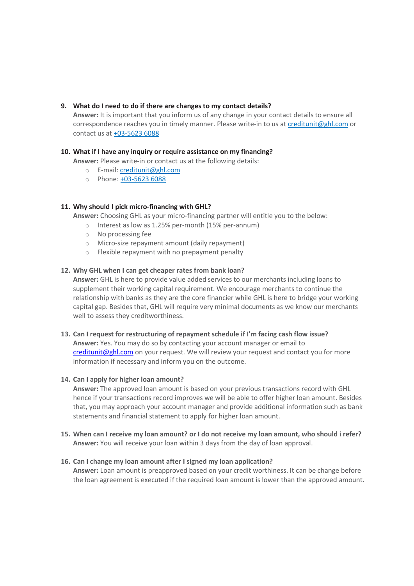## 9. What do I need to do if there are changes to my contact details?

Answer: It is important that you inform us of any change in your contact details to ensure all correspondence reaches you in timely manner. Please write-in to us at creditunit@ghl.com or contact us at +03-5623 6088

## 10. What if I have any inquiry or require assistance on my financing?

Answer: Please write-in or contact us at the following details:

- o E-mail: creditunit@ghl.com
- o Phone: +03-5623 6088

## 11. Why should I pick micro-financing with GHL?

Answer: Choosing GHL as your micro-financing partner will entitle you to the below:

- o Interest as low as 1.25% per-month (15% per-annum)
- o No processing fee
- o Micro-size repayment amount (daily repayment)
- o Flexible repayment with no prepayment penalty

## 12. Why GHL when I can get cheaper rates from bank loan?

Answer: GHL is here to provide value added services to our merchants including loans to supplement their working capital requirement. We encourage merchants to continue the relationship with banks as they are the core financier while GHL is here to bridge your working capital gap. Besides that, GHL will require very minimal documents as we know our merchants well to assess they creditworthiness.

# 13. Can I request for restructuring of repayment schedule if I'm facing cash flow issue? Answer: Yes. You may do so by contacting your account manager or email to creditunit@ghl.com on your request. We will review your request and contact you for more information if necessary and inform you on the outcome.

## 14. Can I apply for higher loan amount?

Answer: The approved loan amount is based on your previous transactions record with GHL hence if your transactions record improves we will be able to offer higher loan amount. Besides that, you may approach your account manager and provide additional information such as bank statements and financial statement to apply for higher loan amount.

15. When can I receive my loan amount? or I do not receive my loan amount, who should i refer? Answer: You will receive your loan within 3 days from the day of loan approval.

### 16. Can I change my loan amount after I signed my loan application?

Answer: Loan amount is preapproved based on your credit worthiness. It can be change before the loan agreement is executed if the required loan amount is lower than the approved amount.